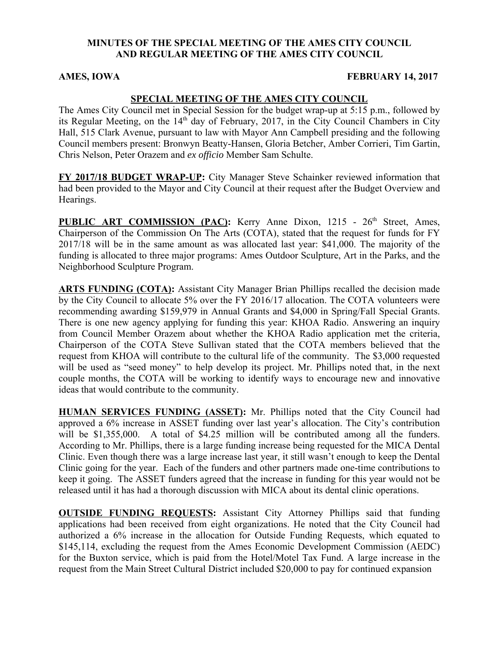#### **MINUTES OF THE SPECIAL MEETING OF THE AMES CITY COUNCIL AND REGULAR MEETING OF THE AMES CITY COUNCIL**

#### **AMES, IOWA FEBRUARY 14, 2017**

### **SPECIAL MEETING OF THE AMES CITY COUNCIL**

The Ames City Council met in Special Session for the budget wrap-up at 5:15 p.m., followed by its Regular Meeting, on the  $14<sup>th</sup>$  day of February, 2017, in the City Council Chambers in City Hall, 515 Clark Avenue, pursuant to law with Mayor Ann Campbell presiding and the following Council members present: Bronwyn Beatty-Hansen, Gloria Betcher, Amber Corrieri, Tim Gartin, Chris Nelson, Peter Orazem and *ex officio* Member Sam Schulte.

**FY 2017/18 BUDGET WRAP-UP:** City Manager Steve Schainker reviewed information that had been provided to the Mayor and City Council at their request after the Budget Overview and Hearings.

PUBLIC ART COMMISSION (PAC): Kerry Anne Dixon, 1215 - 26<sup>th</sup> Street, Ames, Chairperson of the Commission On The Arts (COTA), stated that the request for funds for FY 2017/18 will be in the same amount as was allocated last year: \$41,000. The majority of the funding is allocated to three major programs: Ames Outdoor Sculpture, Art in the Parks, and the Neighborhood Sculpture Program.

**ARTS FUNDING (COTA):** Assistant City Manager Brian Phillips recalled the decision made by the City Council to allocate 5% over the FY 2016/17 allocation. The COTA volunteers were recommending awarding \$159,979 in Annual Grants and \$4,000 in Spring/Fall Special Grants. There is one new agency applying for funding this year: KHOA Radio. Answering an inquiry from Council Member Orazem about whether the KHOA Radio application met the criteria, Chairperson of the COTA Steve Sullivan stated that the COTA members believed that the request from KHOA will contribute to the cultural life of the community. The \$3,000 requested will be used as "seed money" to help develop its project. Mr. Phillips noted that, in the next couple months, the COTA will be working to identify ways to encourage new and innovative ideas that would contribute to the community.

**HUMAN SERVICES FUNDING (ASSET):** Mr. Phillips noted that the City Council had approved a 6% increase in ASSET funding over last year's allocation. The City's contribution will be \$1,355,000. A total of \$4.25 million will be contributed among all the funders. According to Mr. Phillips, there is a large funding increase being requested for the MICA Dental Clinic. Even though there was a large increase last year, it still wasn't enough to keep the Dental Clinic going for the year. Each of the funders and other partners made one-time contributions to keep it going. The ASSET funders agreed that the increase in funding for this year would not be released until it has had a thorough discussion with MICA about its dental clinic operations.

**OUTSIDE FUNDING REQUESTS:** Assistant City Attorney Phillips said that funding applications had been received from eight organizations. He noted that the City Council had authorized a 6% increase in the allocation for Outside Funding Requests, which equated to \$145,114, excluding the request from the Ames Economic Development Commission (AEDC) for the Buxton service, which is paid from the Hotel/Motel Tax Fund. A large increase in the request from the Main Street Cultural District included \$20,000 to pay for continued expansion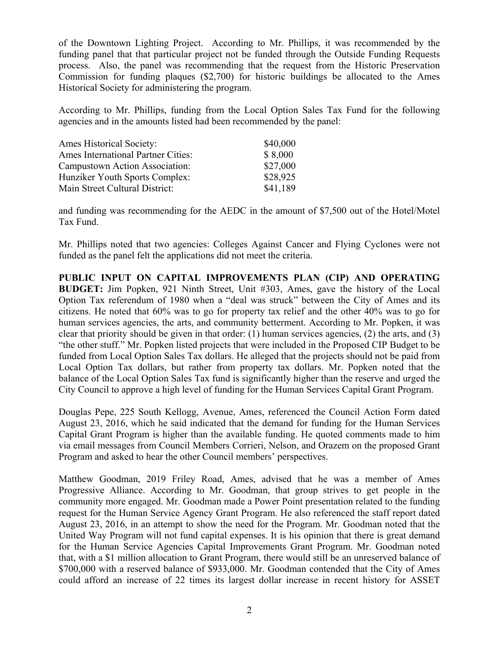of the Downtown Lighting Project. According to Mr. Phillips, it was recommended by the funding panel that that particular project not be funded through the Outside Funding Requests process. Also, the panel was recommending that the request from the Historic Preservation Commission for funding plaques (\$2,700) for historic buildings be allocated to the Ames Historical Society for administering the program.

According to Mr. Phillips, funding from the Local Option Sales Tax Fund for the following agencies and in the amounts listed had been recommended by the panel:

| <b>Ames Historical Society:</b>           | \$40,000 |
|-------------------------------------------|----------|
| <b>Ames International Partner Cities:</b> | \$8,000  |
| Campustown Action Association:            | \$27,000 |
| Hunziker Youth Sports Complex:            | \$28,925 |
| Main Street Cultural District:            | \$41,189 |

and funding was recommending for the AEDC in the amount of \$7,500 out of the Hotel/Motel Tax Fund.

Mr. Phillips noted that two agencies: Colleges Against Cancer and Flying Cyclones were not funded as the panel felt the applications did not meet the criteria.

**PUBLIC INPUT ON CAPITAL IMPROVEMENTS PLAN (CIP) AND OPERATING BUDGET:** Jim Popken, 921 Ninth Street, Unit #303, Ames, gave the history of the Local Option Tax referendum of 1980 when a "deal was struck" between the City of Ames and its citizens. He noted that 60% was to go for property tax relief and the other 40% was to go for human services agencies, the arts, and community betterment. According to Mr. Popken, it was clear that priority should be given in that order: (1) human services agencies, (2) the arts, and (3) "the other stuff." Mr. Popken listed projects that were included in the Proposed CIP Budget to be funded from Local Option Sales Tax dollars. He alleged that the projects should not be paid from Local Option Tax dollars, but rather from property tax dollars. Mr. Popken noted that the balance of the Local Option Sales Tax fund is significantly higher than the reserve and urged the City Council to approve a high level of funding for the Human Services Capital Grant Program.

Douglas Pepe, 225 South Kellogg, Avenue, Ames, referenced the Council Action Form dated August 23, 2016, which he said indicated that the demand for funding for the Human Services Capital Grant Program is higher than the available funding. He quoted comments made to him via email messages from Council Members Corrieri, Nelson, and Orazem on the proposed Grant Program and asked to hear the other Council members' perspectives.

Matthew Goodman, 2019 Friley Road, Ames, advised that he was a member of Ames Progressive Alliance. According to Mr. Goodman, that group strives to get people in the community more engaged. Mr. Goodman made a Power Point presentation related to the funding request for the Human Service Agency Grant Program. He also referenced the staff report dated August 23, 2016, in an attempt to show the need for the Program. Mr. Goodman noted that the United Way Program will not fund capital expenses. It is his opinion that there is great demand for the Human Service Agencies Capital Improvements Grant Program. Mr. Goodman noted that, with a \$1 million allocation to Grant Program, there would still be an unreserved balance of \$700,000 with a reserved balance of \$933,000. Mr. Goodman contended that the City of Ames could afford an increase of 22 times its largest dollar increase in recent history for ASSET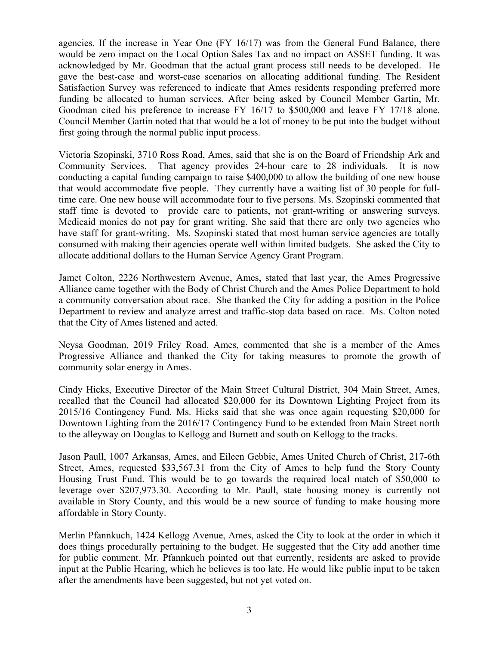agencies. If the increase in Year One (FY 16/17) was from the General Fund Balance, there would be zero impact on the Local Option Sales Tax and no impact on ASSET funding. It was acknowledged by Mr. Goodman that the actual grant process still needs to be developed. He gave the best-case and worst-case scenarios on allocating additional funding. The Resident Satisfaction Survey was referenced to indicate that Ames residents responding preferred more funding be allocated to human services. After being asked by Council Member Gartin, Mr. Goodman cited his preference to increase FY 16/17 to \$500,000 and leave FY 17/18 alone. Council Member Gartin noted that that would be a lot of money to be put into the budget without first going through the normal public input process.

Victoria Szopinski, 3710 Ross Road, Ames, said that she is on the Board of Friendship Ark and Community Services. That agency provides 24-hour care to 28 individuals. It is now conducting a capital funding campaign to raise \$400,000 to allow the building of one new house that would accommodate five people. They currently have a waiting list of 30 people for fulltime care. One new house will accommodate four to five persons. Ms. Szopinski commented that staff time is devoted to provide care to patients, not grant-writing or answering surveys. Medicaid monies do not pay for grant writing. She said that there are only two agencies who have staff for grant-writing. Ms. Szopinski stated that most human service agencies are totally consumed with making their agencies operate well within limited budgets. She asked the City to allocate additional dollars to the Human Service Agency Grant Program.

Jamet Colton, 2226 Northwestern Avenue, Ames, stated that last year, the Ames Progressive Alliance came together with the Body of Christ Church and the Ames Police Department to hold a community conversation about race. She thanked the City for adding a position in the Police Department to review and analyze arrest and traffic-stop data based on race. Ms. Colton noted that the City of Ames listened and acted.

Neysa Goodman, 2019 Friley Road, Ames, commented that she is a member of the Ames Progressive Alliance and thanked the City for taking measures to promote the growth of community solar energy in Ames.

Cindy Hicks, Executive Director of the Main Street Cultural District, 304 Main Street, Ames, recalled that the Council had allocated \$20,000 for its Downtown Lighting Project from its 2015/16 Contingency Fund. Ms. Hicks said that she was once again requesting \$20,000 for Downtown Lighting from the 2016/17 Contingency Fund to be extended from Main Street north to the alleyway on Douglas to Kellogg and Burnett and south on Kellogg to the tracks.

Jason Paull, 1007 Arkansas, Ames, and Eileen Gebbie, Ames United Church of Christ, 217-6th Street, Ames, requested \$33,567.31 from the City of Ames to help fund the Story County Housing Trust Fund. This would be to go towards the required local match of \$50,000 to leverage over \$207,973.30. According to Mr. Paull, state housing money is currently not available in Story County, and this would be a new source of funding to make housing more affordable in Story County.

Merlin Pfannkuch, 1424 Kellogg Avenue, Ames, asked the City to look at the order in which it does things procedurally pertaining to the budget. He suggested that the City add another time for public comment. Mr. Pfannkuch pointed out that currently, residents are asked to provide input at the Public Hearing, which he believes is too late. He would like public input to be taken after the amendments have been suggested, but not yet voted on.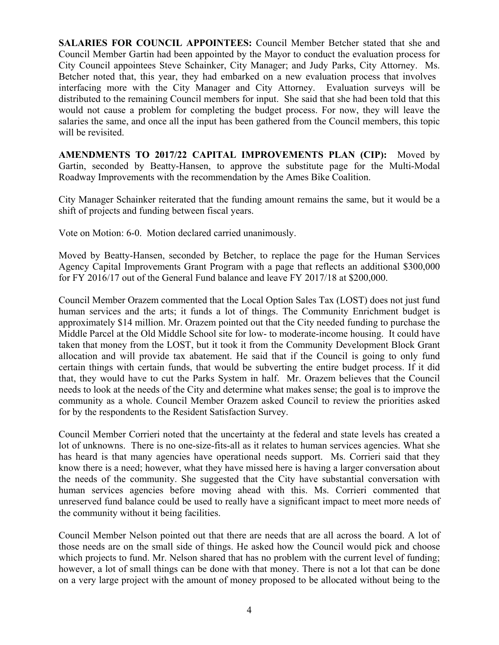**SALARIES FOR COUNCIL APPOINTEES:** Council Member Betcher stated that she and Council Member Gartin had been appointed by the Mayor to conduct the evaluation process for City Council appointees Steve Schainker, City Manager; and Judy Parks, City Attorney. Ms. Betcher noted that, this year, they had embarked on a new evaluation process that involves interfacing more with the City Manager and City Attorney. Evaluation surveys will be distributed to the remaining Council members for input. She said that she had been told that this would not cause a problem for completing the budget process. For now, they will leave the salaries the same, and once all the input has been gathered from the Council members, this topic will be revisited.

**AMENDMENTS TO 2017/22 CAPITAL IMPROVEMENTS PLAN (CIP):** Moved by Gartin, seconded by Beatty-Hansen, to approve the substitute page for the Multi-Modal Roadway Improvements with the recommendation by the Ames Bike Coalition.

City Manager Schainker reiterated that the funding amount remains the same, but it would be a shift of projects and funding between fiscal years.

Vote on Motion: 6-0. Motion declared carried unanimously.

Moved by Beatty-Hansen, seconded by Betcher, to replace the page for the Human Services Agency Capital Improvements Grant Program with a page that reflects an additional \$300,000 for FY 2016/17 out of the General Fund balance and leave FY 2017/18 at \$200,000.

Council Member Orazem commented that the Local Option Sales Tax (LOST) does not just fund human services and the arts; it funds a lot of things. The Community Enrichment budget is approximately \$14 million. Mr. Orazem pointed out that the City needed funding to purchase the Middle Parcel at the Old Middle School site for low- to moderate-income housing. It could have taken that money from the LOST, but it took it from the Community Development Block Grant allocation and will provide tax abatement. He said that if the Council is going to only fund certain things with certain funds, that would be subverting the entire budget process. If it did that, they would have to cut the Parks System in half. Mr. Orazem believes that the Council needs to look at the needs of the City and determine what makes sense; the goal is to improve the community as a whole. Council Member Orazem asked Council to review the priorities asked for by the respondents to the Resident Satisfaction Survey.

Council Member Corrieri noted that the uncertainty at the federal and state levels has created a lot of unknowns. There is no one-size-fits-all as it relates to human services agencies. What she has heard is that many agencies have operational needs support. Ms. Corrieri said that they know there is a need; however, what they have missed here is having a larger conversation about the needs of the community. She suggested that the City have substantial conversation with human services agencies before moving ahead with this. Ms. Corrieri commented that unreserved fund balance could be used to really have a significant impact to meet more needs of the community without it being facilities.

Council Member Nelson pointed out that there are needs that are all across the board. A lot of those needs are on the small side of things. He asked how the Council would pick and choose which projects to fund. Mr. Nelson shared that has no problem with the current level of funding; however, a lot of small things can be done with that money. There is not a lot that can be done on a very large project with the amount of money proposed to be allocated without being to the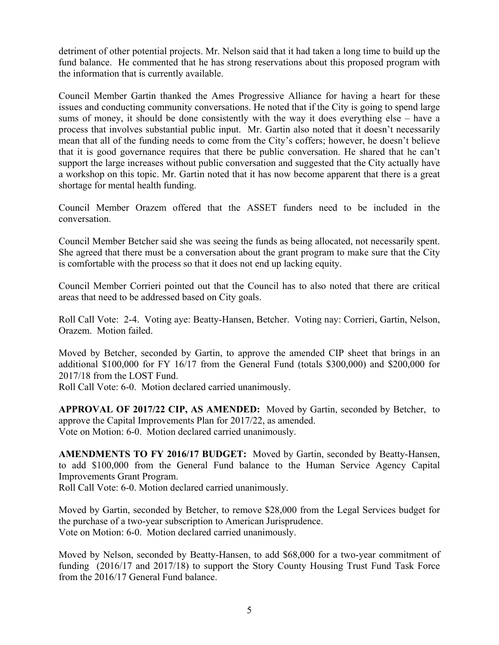detriment of other potential projects. Mr. Nelson said that it had taken a long time to build up the fund balance. He commented that he has strong reservations about this proposed program with the information that is currently available.

Council Member Gartin thanked the Ames Progressive Alliance for having a heart for these issues and conducting community conversations. He noted that if the City is going to spend large sums of money, it should be done consistently with the way it does everything else – have a process that involves substantial public input. Mr. Gartin also noted that it doesn't necessarily mean that all of the funding needs to come from the City's coffers; however, he doesn't believe that it is good governance requires that there be public conversation. He shared that he can't support the large increases without public conversation and suggested that the City actually have a workshop on this topic. Mr. Gartin noted that it has now become apparent that there is a great shortage for mental health funding.

Council Member Orazem offered that the ASSET funders need to be included in the conversation.

Council Member Betcher said she was seeing the funds as being allocated, not necessarily spent. She agreed that there must be a conversation about the grant program to make sure that the City is comfortable with the process so that it does not end up lacking equity.

Council Member Corrieri pointed out that the Council has to also noted that there are critical areas that need to be addressed based on City goals.

Roll Call Vote: 2-4. Voting aye: Beatty-Hansen, Betcher. Voting nay: Corrieri, Gartin, Nelson, Orazem. Motion failed.

Moved by Betcher, seconded by Gartin, to approve the amended CIP sheet that brings in an additional \$100,000 for FY 16/17 from the General Fund (totals \$300,000) and \$200,000 for 2017/18 from the LOST Fund.

Roll Call Vote: 6-0. Motion declared carried unanimously.

**APPROVAL OF 2017/22 CIP, AS AMENDED:** Moved by Gartin, seconded by Betcher, to approve the Capital Improvements Plan for 2017/22, as amended. Vote on Motion: 6-0. Motion declared carried unanimously.

**AMENDMENTS TO FY 2016/17 BUDGET:** Moved by Gartin, seconded by Beatty-Hansen, to add \$100,000 from the General Fund balance to the Human Service Agency Capital Improvements Grant Program.

Roll Call Vote: 6-0. Motion declared carried unanimously.

Moved by Gartin, seconded by Betcher, to remove \$28,000 from the Legal Services budget for the purchase of a two-year subscription to American Jurisprudence. Vote on Motion: 6-0. Motion declared carried unanimously.

Moved by Nelson, seconded by Beatty-Hansen, to add \$68,000 for a two-year commitment of funding (2016/17 and 2017/18) to support the Story County Housing Trust Fund Task Force from the 2016/17 General Fund balance.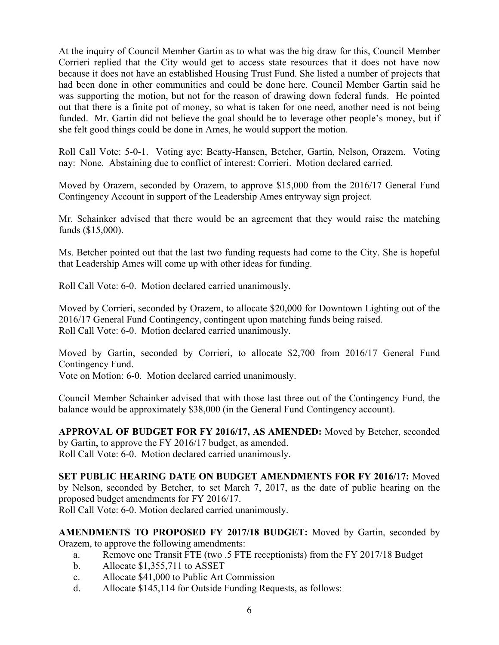At the inquiry of Council Member Gartin as to what was the big draw for this, Council Member Corrieri replied that the City would get to access state resources that it does not have now because it does not have an established Housing Trust Fund. She listed a number of projects that had been done in other communities and could be done here. Council Member Gartin said he was supporting the motion, but not for the reason of drawing down federal funds. He pointed out that there is a finite pot of money, so what is taken for one need, another need is not being funded. Mr. Gartin did not believe the goal should be to leverage other people's money, but if she felt good things could be done in Ames, he would support the motion.

Roll Call Vote: 5-0-1. Voting aye: Beatty-Hansen, Betcher, Gartin, Nelson, Orazem. Voting nay: None. Abstaining due to conflict of interest: Corrieri. Motion declared carried.

Moved by Orazem, seconded by Orazem, to approve \$15,000 from the 2016/17 General Fund Contingency Account in support of the Leadership Ames entryway sign project.

Mr. Schainker advised that there would be an agreement that they would raise the matching funds (\$15,000).

Ms. Betcher pointed out that the last two funding requests had come to the City. She is hopeful that Leadership Ames will come up with other ideas for funding.

Roll Call Vote: 6-0. Motion declared carried unanimously.

Moved by Corrieri, seconded by Orazem, to allocate \$20,000 for Downtown Lighting out of the 2016/17 General Fund Contingency, contingent upon matching funds being raised. Roll Call Vote: 6-0. Motion declared carried unanimously.

Moved by Gartin, seconded by Corrieri, to allocate \$2,700 from 2016/17 General Fund Contingency Fund.

Vote on Motion: 6-0. Motion declared carried unanimously.

Council Member Schainker advised that with those last three out of the Contingency Fund, the balance would be approximately \$38,000 (in the General Fund Contingency account).

**APPROVAL OF BUDGET FOR FY 2016/17, AS AMENDED:** Moved by Betcher, seconded by Gartin, to approve the FY 2016/17 budget, as amended. Roll Call Vote: 6-0. Motion declared carried unanimously.

**SET PUBLIC HEARING DATE ON BUDGET AMENDMENTS FOR FY 2016/17:** Moved by Nelson, seconded by Betcher, to set March 7, 2017, as the date of public hearing on the proposed budget amendments for FY 2016/17.

Roll Call Vote: 6-0. Motion declared carried unanimously.

**AMENDMENTS TO PROPOSED FY 2017/18 BUDGET:** Moved by Gartin, seconded by Orazem, to approve the following amendments:

- a. Remove one Transit FTE (two .5 FTE receptionists) from the FY 2017/18 Budget
- b. Allocate \$1,355,711 to ASSET
- c. Allocate \$41,000 to Public Art Commission
- d. Allocate \$145,114 for Outside Funding Requests, as follows: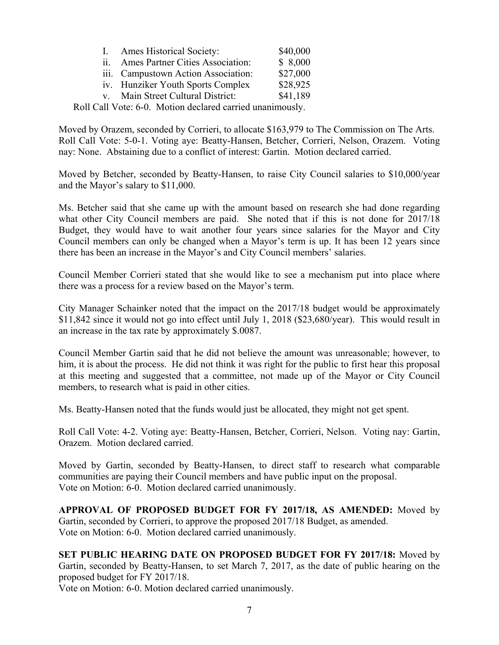| 1.    | <b>Ames Historical Society:</b>     | \$40,000 |
|-------|-------------------------------------|----------|
| ii. - | Ames Partner Cities Association:    | \$8,000  |
|       | iii. Campustown Action Association: | \$27,000 |
|       | iv. Hunziker Youth Sports Complex   | \$28,925 |
|       | v. Main Street Cultural District:   | \$41,189 |
|       |                                     |          |

Roll Call Vote: 6-0. Motion declared carried unanimously.

Moved by Orazem, seconded by Corrieri, to allocate \$163,979 to The Commission on The Arts. Roll Call Vote: 5-0-1. Voting aye: Beatty-Hansen, Betcher, Corrieri, Nelson, Orazem. Voting nay: None. Abstaining due to a conflict of interest: Gartin. Motion declared carried.

Moved by Betcher, seconded by Beatty-Hansen, to raise City Council salaries to \$10,000/year and the Mayor's salary to \$11,000.

Ms. Betcher said that she came up with the amount based on research she had done regarding what other City Council members are paid. She noted that if this is not done for 2017/18 Budget, they would have to wait another four years since salaries for the Mayor and City Council members can only be changed when a Mayor's term is up. It has been 12 years since there has been an increase in the Mayor's and City Council members' salaries.

Council Member Corrieri stated that she would like to see a mechanism put into place where there was a process for a review based on the Mayor's term.

City Manager Schainker noted that the impact on the 2017/18 budget would be approximately \$11,842 since it would not go into effect until July 1, 2018 (\$23,680/year). This would result in an increase in the tax rate by approximately \$.0087.

Council Member Gartin said that he did not believe the amount was unreasonable; however, to him, it is about the process. He did not think it was right for the public to first hear this proposal at this meeting and suggested that a committee, not made up of the Mayor or City Council members, to research what is paid in other cities.

Ms. Beatty-Hansen noted that the funds would just be allocated, they might not get spent.

Roll Call Vote: 4-2. Voting aye: Beatty-Hansen, Betcher, Corrieri, Nelson. Voting nay: Gartin, Orazem. Motion declared carried.

Moved by Gartin, seconded by Beatty-Hansen, to direct staff to research what comparable communities are paying their Council members and have public input on the proposal. Vote on Motion: 6-0. Motion declared carried unanimously.

**APPROVAL OF PROPOSED BUDGET FOR FY 2017/18, AS AMENDED:** Moved by Gartin, seconded by Corrieri, to approve the proposed 2017/18 Budget, as amended. Vote on Motion: 6-0. Motion declared carried unanimously.

**SET PUBLIC HEARING DATE ON PROPOSED BUDGET FOR FY 2017/18:** Moved by Gartin, seconded by Beatty-Hansen, to set March 7, 2017, as the date of public hearing on the proposed budget for FY 2017/18.

Vote on Motion: 6-0. Motion declared carried unanimously.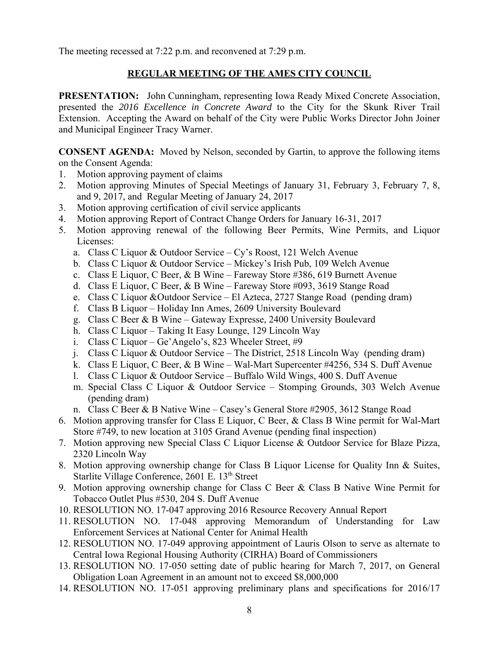The meeting recessed at 7:22 p.m. and reconvened at 7:29 p.m.

# **REGULAR MEETING OF THE AMES CITY COUNCIL**

**PRESENTATION:** John Cunningham, representing Iowa Ready Mixed Concrete Association, presented the *2016 Excellence in Concrete Award* to the City for the Skunk River Trail Extension. Accepting the Award on behalf of the City were Public Works Director John Joiner and Municipal Engineer Tracy Warner.

**CONSENT AGENDA:** Moved by Nelson, seconded by Gartin, to approve the following items on the Consent Agenda:

- 1. Motion approving payment of claims
- 2. Motion approving Minutes of Special Meetings of January 31, February 3, February 7, 8, and 9, 2017, and Regular Meeting of January 24, 2017
- 3. Motion approving certification of civil service applicants
- 4. Motion approving Report of Contract Change Orders for January 16-31, 2017
- 5. Motion approving renewal of the following Beer Permits, Wine Permits, and Liquor Licenses:
	- a. Class C Liquor & Outdoor Service Cy's Roost, 121 Welch Avenue
	- b. Class C Liquor & Outdoor Service Mickey's Irish Pub, 109 Welch Avenue
	- c. Class E Liquor, C Beer, & B Wine Fareway Store #386, 619 Burnett Avenue
	- d. Class E Liquor, C Beer, & B Wine Fareway Store #093, 3619 Stange Road
	- e. Class C Liquor &Outdoor Service El Azteca, 2727 Stange Road (pending dram)
	- f. Class B Liquor Holiday Inn Ames, 2609 University Boulevard
	- g. Class C Beer & B Wine Gateway Expresse, 2400 University Boulevard
	- h. Class C Liquor Taking It Easy Lounge, 129 Lincoln Way
	- i. Class C Liquor Ge'Angelo's, 823 Wheeler Street, #9
	- j. Class C Liquor & Outdoor Service The District, 2518 Lincoln Way (pending dram)
	- k. Class E Liquor, C Beer, & B Wine Wal-Mart Supercenter #4256, 534 S. Duff Avenue
	- l. Class C Liquor & Outdoor Service Buffalo Wild Wings, 400 S. Duff Avenue
	- m. Special Class C Liquor & Outdoor Service Stomping Grounds, 303 Welch Avenue (pending dram)
	- n. Class C Beer & B Native Wine Casey's General Store #2905, 3612 Stange Road
- 6. Motion approving transfer for Class E Liquor, C Beer, & Class B Wine permit for Wal-Mart Store #749, to new location at 3105 Grand Avenue (pending final inspection)
- 7. Motion approving new Special Class C Liquor License & Outdoor Service for Blaze Pizza, 2320 Lincoln Way
- 8. Motion approving ownership change for Class B Liquor License for Quality Inn & Suites, Starlite Village Conference, 2601 E. 13<sup>th</sup> Street
- 9. Motion approving ownership change for Class C Beer & Class B Native Wine Permit for Tobacco Outlet Plus #530, 204 S. Duff Avenue
- 10. RESOLUTION NO. 17-047 approving 2016 Resource Recovery Annual Report
- 11. RESOLUTION NO. 17-048 approving Memorandum of Understanding for Law Enforcement Services at National Center for Animal Health
- 12. RESOLUTION NO. 17-049 approving appointment of Lauris Olson to serve as alternate to Central Iowa Regional Housing Authority (CIRHA) Board of Commissioners
- 13. RESOLUTION NO. 17-050 setting date of public hearing for March 7, 2017, on General Obligation Loan Agreement in an amount not to exceed \$8,000,000
- 14. RESOLUTION NO. 17-051 approving preliminary plans and specifications for 2016/17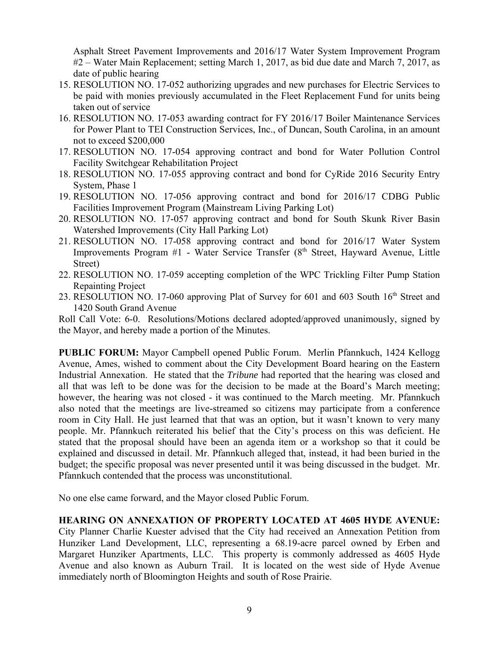Asphalt Street Pavement Improvements and 2016/17 Water System Improvement Program #2 – Water Main Replacement; setting March 1, 2017, as bid due date and March 7, 2017, as date of public hearing

- 15. RESOLUTION NO. 17-052 authorizing upgrades and new purchases for Electric Services to be paid with monies previously accumulated in the Fleet Replacement Fund for units being taken out of service
- 16. RESOLUTION NO. 17-053 awarding contract for FY 2016/17 Boiler Maintenance Services for Power Plant to TEI Construction Services, Inc., of Duncan, South Carolina, in an amount not to exceed \$200,000
- 17. RESOLUTION NO. 17-054 approving contract and bond for Water Pollution Control Facility Switchgear Rehabilitation Project
- 18. RESOLUTION NO. 17-055 approving contract and bond for CyRide 2016 Security Entry System, Phase 1
- 19. RESOLUTION NO. 17-056 approving contract and bond for 2016/17 CDBG Public Facilities Improvement Program (Mainstream Living Parking Lot)
- 20. RESOLUTION NO. 17-057 approving contract and bond for South Skunk River Basin Watershed Improvements (City Hall Parking Lot)
- 21. RESOLUTION NO. 17-058 approving contract and bond for 2016/17 Water System Improvements Program  $#1$  - Water Service Transfer ( $8<sup>th</sup>$  Street, Hayward Avenue, Little Street)
- 22. RESOLUTION NO. 17-059 accepting completion of the WPC Trickling Filter Pump Station Repainting Project
- 23. RESOLUTION NO. 17-060 approving Plat of Survey for 601 and 603 South  $16<sup>th</sup>$  Street and 1420 South Grand Avenue

Roll Call Vote: 6-0. Resolutions/Motions declared adopted/approved unanimously, signed by the Mayor, and hereby made a portion of the Minutes.

**PUBLIC FORUM:** Mayor Campbell opened Public Forum. Merlin Pfannkuch, 1424 Kellogg Avenue, Ames, wished to comment about the City Development Board hearing on the Eastern Industrial Annexation. He stated that the *Tribune* had reported that the hearing was closed and all that was left to be done was for the decision to be made at the Board's March meeting; however, the hearing was not closed - it was continued to the March meeting. Mr. Pfannkuch also noted that the meetings are live-streamed so citizens may participate from a conference room in City Hall. He just learned that that was an option, but it wasn't known to very many people. Mr. Pfannkuch reiterated his belief that the City's process on this was deficient. He stated that the proposal should have been an agenda item or a workshop so that it could be explained and discussed in detail. Mr. Pfannkuch alleged that, instead, it had been buried in the budget; the specific proposal was never presented until it was being discussed in the budget. Mr. Pfannkuch contended that the process was unconstitutional.

No one else came forward, and the Mayor closed Public Forum.

## **HEARING ON ANNEXATION OF PROPERTY LOCATED AT 4605 HYDE AVENUE:**

City Planner Charlie Kuester advised that the City had received an Annexation Petition from Hunziker Land Development, LLC, representing a 68.19-acre parcel owned by Erben and Margaret Hunziker Apartments, LLC. This property is commonly addressed as 4605 Hyde Avenue and also known as Auburn Trail. It is located on the west side of Hyde Avenue immediately north of Bloomington Heights and south of Rose Prairie.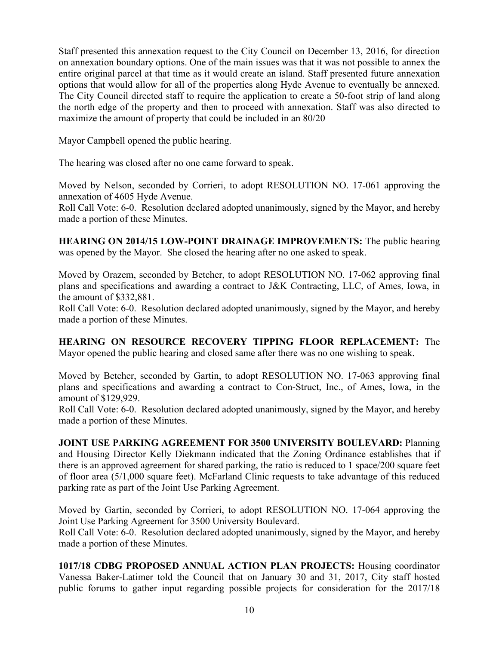Staff presented this annexation request to the City Council on December 13, 2016, for direction on annexation boundary options. One of the main issues was that it was not possible to annex the entire original parcel at that time as it would create an island. Staff presented future annexation options that would allow for all of the properties along Hyde Avenue to eventually be annexed. The City Council directed staff to require the application to create a 50-foot strip of land along the north edge of the property and then to proceed with annexation. Staff was also directed to maximize the amount of property that could be included in an 80/20

Mayor Campbell opened the public hearing.

The hearing was closed after no one came forward to speak.

Moved by Nelson, seconded by Corrieri, to adopt RESOLUTION NO. 17-061 approving the annexation of 4605 Hyde Avenue.

Roll Call Vote: 6-0. Resolution declared adopted unanimously, signed by the Mayor, and hereby made a portion of these Minutes.

**HEARING ON 2014/15 LOW-POINT DRAINAGE IMPROVEMENTS:** The public hearing was opened by the Mayor. She closed the hearing after no one asked to speak.

Moved by Orazem, seconded by Betcher, to adopt RESOLUTION NO. 17-062 approving final plans and specifications and awarding a contract to J&K Contracting, LLC, of Ames, Iowa, in the amount of \$332,881.

Roll Call Vote: 6-0. Resolution declared adopted unanimously, signed by the Mayor, and hereby made a portion of these Minutes.

**HEARING ON RESOURCE RECOVERY TIPPING FLOOR REPLACEMENT:** The Mayor opened the public hearing and closed same after there was no one wishing to speak.

Moved by Betcher, seconded by Gartin, to adopt RESOLUTION NO. 17-063 approving final plans and specifications and awarding a contract to Con-Struct, Inc., of Ames, Iowa, in the amount of \$129,929.

Roll Call Vote: 6-0. Resolution declared adopted unanimously, signed by the Mayor, and hereby made a portion of these Minutes.

**JOINT USE PARKING AGREEMENT FOR 3500 UNIVERSITY BOULEVARD:** Planning and Housing Director Kelly Diekmann indicated that the Zoning Ordinance establishes that if there is an approved agreement for shared parking, the ratio is reduced to 1 space/200 square feet of floor area (5/1,000 square feet). McFarland Clinic requests to take advantage of this reduced parking rate as part of the Joint Use Parking Agreement.

Moved by Gartin, seconded by Corrieri, to adopt RESOLUTION NO. 17-064 approving the Joint Use Parking Agreement for 3500 University Boulevard.

Roll Call Vote: 6-0. Resolution declared adopted unanimously, signed by the Mayor, and hereby made a portion of these Minutes.

**1017/18 CDBG PROPOSED ANNUAL ACTION PLAN PROJECTS:** Housing coordinator Vanessa Baker-Latimer told the Council that on January 30 and 31, 2017, City staff hosted public forums to gather input regarding possible projects for consideration for the 2017/18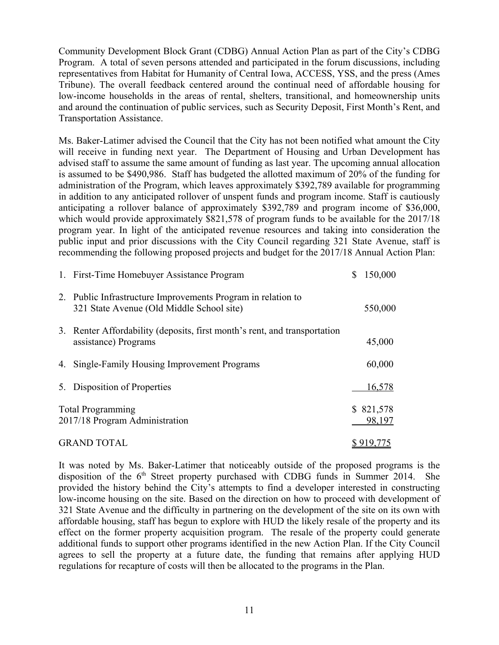Community Development Block Grant (CDBG) Annual Action Plan as part of the City's CDBG Program. A total of seven persons attended and participated in the forum discussions, including representatives from Habitat for Humanity of Central Iowa, ACCESS, YSS, and the press (Ames Tribune). The overall feedback centered around the continual need of affordable housing for low-income households in the areas of rental, shelters, transitional, and homeownership units and around the continuation of public services, such as Security Deposit, First Month's Rent, and Transportation Assistance.

Ms. Baker-Latimer advised the Council that the City has not been notified what amount the City will receive in funding next year. The Department of Housing and Urban Development has advised staff to assume the same amount of funding as last year. The upcoming annual allocation is assumed to be \$490,986. Staff has budgeted the allotted maximum of 20% of the funding for administration of the Program, which leaves approximately \$392,789 available for programming in addition to any anticipated rollover of unspent funds and program income. Staff is cautiously anticipating a rollover balance of approximately \$392,789 and program income of \$36,000, which would provide approximately \$821,578 of program funds to be available for the 2017/18 program year. In light of the anticipated revenue resources and taking into consideration the public input and prior discussions with the City Council regarding 321 State Avenue, staff is recommending the following proposed projects and budget for the 2017/18 Annual Action Plan:

| 1. First-Time Homebuyer Assistance Program                                                                | \$<br>150,000        |
|-----------------------------------------------------------------------------------------------------------|----------------------|
| 2. Public Infrastructure Improvements Program in relation to<br>321 State Avenue (Old Middle School site) | 550,000              |
| 3. Renter Affordability (deposits, first month's rent, and transportation<br>assistance) Programs         | 45,000               |
| 4. Single-Family Housing Improvement Programs                                                             | 60,000               |
| 5. Disposition of Properties                                                                              | 16,578               |
| <b>Total Programming</b><br>2017/18 Program Administration                                                | \$ 821,578<br>98,197 |
| <b>GRAND TOTAL</b>                                                                                        |                      |

It was noted by Ms. Baker-Latimer that noticeably outside of the proposed programs is the disposition of the  $6<sup>th</sup>$  Street property purchased with CDBG funds in Summer 2014. She provided the history behind the City's attempts to find a developer interested in constructing low-income housing on the site. Based on the direction on how to proceed with development of 321 State Avenue and the difficulty in partnering on the development of the site on its own with affordable housing, staff has begun to explore with HUD the likely resale of the property and its effect on the former property acquisition program. The resale of the property could generate additional funds to support other programs identified in the new Action Plan. If the City Council agrees to sell the property at a future date, the funding that remains after applying HUD regulations for recapture of costs will then be allocated to the programs in the Plan.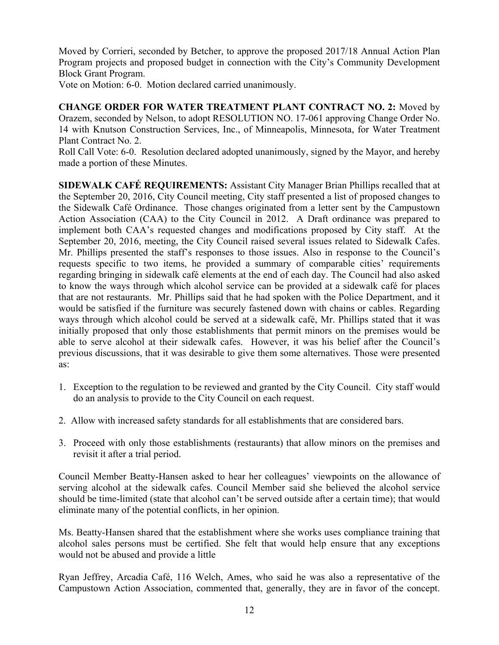Moved by Corrieri, seconded by Betcher, to approve the proposed 2017/18 Annual Action Plan Program projects and proposed budget in connection with the City's Community Development Block Grant Program.

Vote on Motion: 6-0. Motion declared carried unanimously.

**CHANGE ORDER FOR WATER TREATMENT PLANT CONTRACT NO. 2:** Moved by Orazem, seconded by Nelson, to adopt RESOLUTION NO. 17-061 approving Change Order No. 14 with Knutson Construction Services, Inc., of Minneapolis, Minnesota, for Water Treatment Plant Contract No. 2.

Roll Call Vote: 6-0. Resolution declared adopted unanimously, signed by the Mayor, and hereby made a portion of these Minutes.

**SIDEWALK CAFÉ REQUIREMENTS:** Assistant City Manager Brian Phillips recalled that at the September 20, 2016, City Council meeting, City staff presented a list of proposed changes to the Sidewalk Café Ordinance. Those changes originated from a letter sent by the Campustown Action Association (CAA) to the City Council in 2012. A Draft ordinance was prepared to implement both CAA's requested changes and modifications proposed by City staff. At the September 20, 2016, meeting, the City Council raised several issues related to Sidewalk Cafes. Mr. Phillips presented the staff's responses to those issues. Also in response to the Council's requests specific to two items, he provided a summary of comparable cities' requirements regarding bringing in sidewalk café elements at the end of each day. The Council had also asked to know the ways through which alcohol service can be provided at a sidewalk café for places that are not restaurants. Mr. Phillips said that he had spoken with the Police Department, and it would be satisfied if the furniture was securely fastened down with chains or cables. Regarding ways through which alcohol could be served at a sidewalk café, Mr. Phillips stated that it was initially proposed that only those establishments that permit minors on the premises would be able to serve alcohol at their sidewalk cafes. However, it was his belief after the Council's previous discussions, that it was desirable to give them some alternatives. Those were presented as:

- 1. Exception to the regulation to be reviewed and granted by the City Council. City staff would do an analysis to provide to the City Council on each request.
- 2. Allow with increased safety standards for all establishments that are considered bars.
- 3. Proceed with only those establishments (restaurants) that allow minors on the premises and revisit it after a trial period.

Council Member Beatty-Hansen asked to hear her colleagues' viewpoints on the allowance of serving alcohol at the sidewalk cafes. Council Member said she believed the alcohol service should be time-limited (state that alcohol can't be served outside after a certain time); that would eliminate many of the potential conflicts, in her opinion.

Ms. Beatty-Hansen shared that the establishment where she works uses compliance training that alcohol sales persons must be certified. She felt that would help ensure that any exceptions would not be abused and provide a little

Ryan Jeffrey, Arcadia Café, 116 Welch, Ames, who said he was also a representative of the Campustown Action Association, commented that, generally, they are in favor of the concept.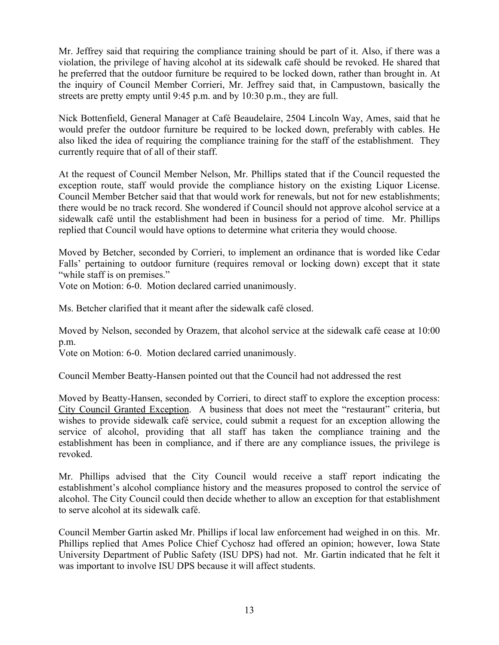Mr. Jeffrey said that requiring the compliance training should be part of it. Also, if there was a violation, the privilege of having alcohol at its sidewalk café should be revoked. He shared that he preferred that the outdoor furniture be required to be locked down, rather than brought in. At the inquiry of Council Member Corrieri, Mr. Jeffrey said that, in Campustown, basically the streets are pretty empty until 9:45 p.m. and by 10:30 p.m., they are full.

Nick Bottenfield, General Manager at Café Beaudelaire, 2504 Lincoln Way, Ames, said that he would prefer the outdoor furniture be required to be locked down, preferably with cables. He also liked the idea of requiring the compliance training for the staff of the establishment. They currently require that of all of their staff.

At the request of Council Member Nelson, Mr. Phillips stated that if the Council requested the exception route, staff would provide the compliance history on the existing Liquor License. Council Member Betcher said that that would work for renewals, but not for new establishments; there would be no track record. She wondered if Council should not approve alcohol service at a sidewalk café until the establishment had been in business for a period of time. Mr. Phillips replied that Council would have options to determine what criteria they would choose.

Moved by Betcher, seconded by Corrieri, to implement an ordinance that is worded like Cedar Falls' pertaining to outdoor furniture (requires removal or locking down) except that it state "while staff is on premises."

Vote on Motion: 6-0. Motion declared carried unanimously.

Ms. Betcher clarified that it meant after the sidewalk café closed.

Moved by Nelson, seconded by Orazem, that alcohol service at the sidewalk café cease at 10:00 p.m.

Vote on Motion: 6-0. Motion declared carried unanimously.

Council Member Beatty-Hansen pointed out that the Council had not addressed the rest

Moved by Beatty-Hansen, seconded by Corrieri, to direct staff to explore the exception process: City Council Granted Exception. A business that does not meet the "restaurant" criteria, but wishes to provide sidewalk café service, could submit a request for an exception allowing the service of alcohol, providing that all staff has taken the compliance training and the establishment has been in compliance, and if there are any compliance issues, the privilege is revoked.

Mr. Phillips advised that the City Council would receive a staff report indicating the establishment's alcohol compliance history and the measures proposed to control the service of alcohol. The City Council could then decide whether to allow an exception for that establishment to serve alcohol at its sidewalk café.

Council Member Gartin asked Mr. Phillips if local law enforcement had weighed in on this. Mr. Phillips replied that Ames Police Chief Cychosz had offered an opinion; however, Iowa State University Department of Public Safety (ISU DPS) had not. Mr. Gartin indicated that he felt it was important to involve ISU DPS because it will affect students.